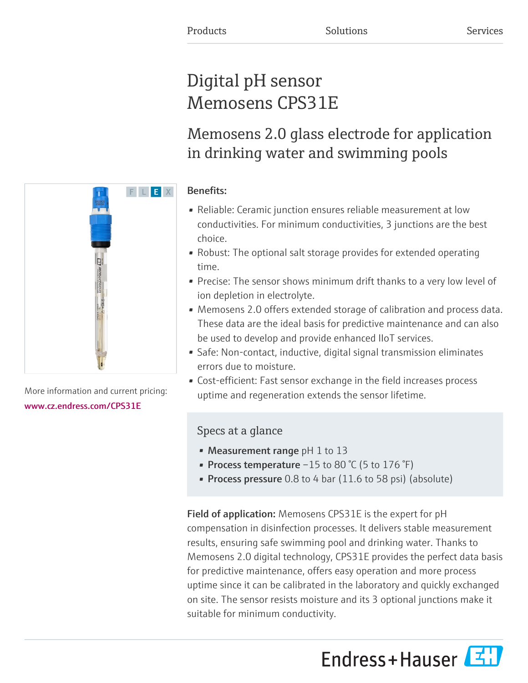# Digital pH sensor Memosens CPS31E

Memosens 2.0 glass electrode for application in drinking water and swimming pools

# Benefits:

- Reliable: Ceramic junction ensures reliable measurement at low conductivities. For minimum conductivities, 3 junctions are the best choice.
- Robust: The optional salt storage provides for extended operating time.
- Precise: The sensor shows minimum drift thanks to a very low level of ion depletion in electrolyte.
- Memosens 2.0 offers extended storage of calibration and process data. These data are the ideal basis for predictive maintenance and can also be used to develop and provide enhanced IIoT services.
- Safe: Non-contact, inductive, digital signal transmission eliminates errors due to moisture.
- Cost-efficient: Fast sensor exchange in the field increases process uptime and regeneration extends the sensor lifetime.

# Specs at a glance

- Measurement range  $pH 1$  to 13
- Process temperature  $-15$  to 80 °C (5 to 176 °F)
- Process pressure 0.8 to 4 bar (11.6 to 58 psi) (absolute)

Field of application: Memosens CPS31E is the expert for pH compensation in disinfection processes. It delivers stable measurement results, ensuring safe swimming pool and drinking water. Thanks to Memosens 2.0 digital technology, CPS31E provides the perfect data basis for predictive maintenance, offers easy operation and more process uptime since it can be calibrated in the laboratory and quickly exchanged on site. The sensor resists moisture and its 3 optional junctions make it suitable for minimum conductivity.

Endress+Hauser



More information and current pricing: [www.cz.endress.com/CPS31E](https://www.cz.endress.com/CPS31E)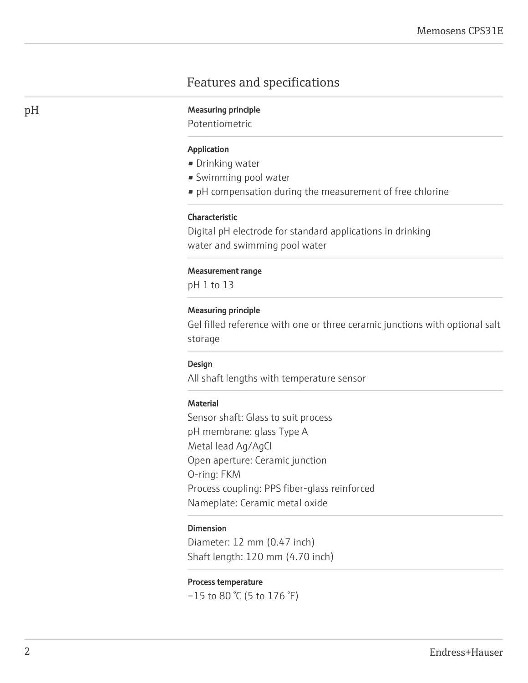# Features and specifications

### pH Measuring principle

Potentiometric

#### Application

- Drinking water
- Swimming pool water
- pH compensation during the measurement of free chlorine

#### Characteristic

Digital pH electrode for standard applications in drinking water and swimming pool water

#### Measurement range

pH 1 to 13

# Measuring principle

Gel filled reference with one or three ceramic junctions with optional salt storage

#### Design

All shaft lengths with temperature sensor

#### Material

Sensor shaft: Glass to suit process pH membrane: glass Type A Metal lead Ag/AgCl Open aperture: Ceramic junction O-ring: FKM Process coupling: PPS fiber-glass reinforced Nameplate: Ceramic metal oxide

#### Dimension

Diameter: 12 mm (0.47 inch) Shaft length: 120 mm (4.70 inch)

#### Process temperature

 $-15$  to 80 °C (5 to 176 °F)